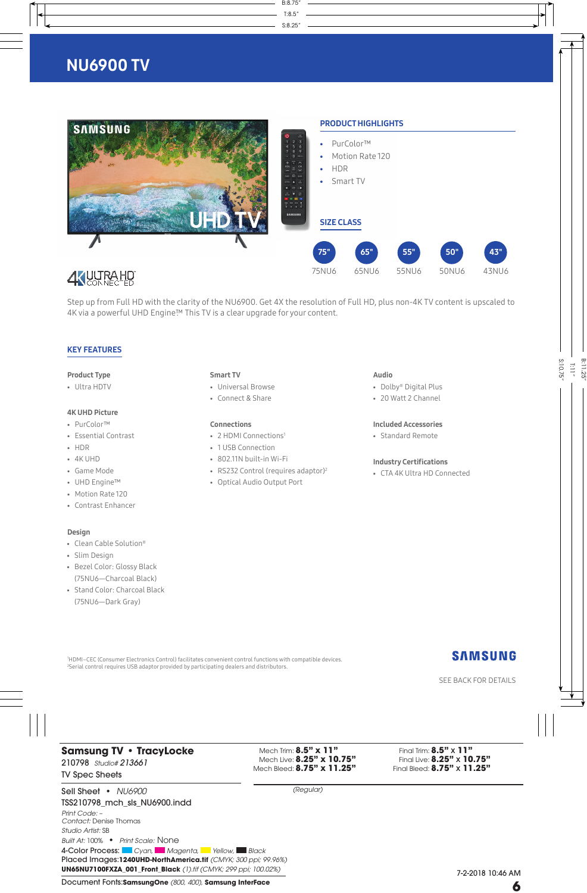

Step up from Full HD with the clarity of the NU6900. Get 4X the resolution of Full HD, plus non-4K TV content is upscaled to 4K via a powerful UHD Engine™ This TV is a clear upgrade for your content.

#### KEY FEATURES

#### Product Type

• Ultra HDTV

#### 4K UHD Picture

- PurColor™
- Essential Contrast
- HDR
- 4K UHD
- Game Mode
- UHD Engine™
- Motion Rate 120
- Contrast Enhancer

#### Design

- Clean Cable Solution®
- Slim Design
- Bezel Color: Glossy Black (75NU6—Charcoal Black)
- Stand Color: Charcoal Black (75NU6—Dark Gray)

#### Smart TV

- Universal Browse
- Connect & Share

#### Connections

- 2 HDMI Connections<sup>1</sup>
- 1 USB Connection
- 802.11N built-in Wi-Fi
- RS232 Control (requires adaptor)<sup>2</sup>
- Optical Audio Output Port

#### Audio

- Dolby® Digital Plus
- 20 Watt 2 Channel

#### Included Accessories

• Standard Remote

#### Industry Certifications

• CTA 4K Ultra HD Connected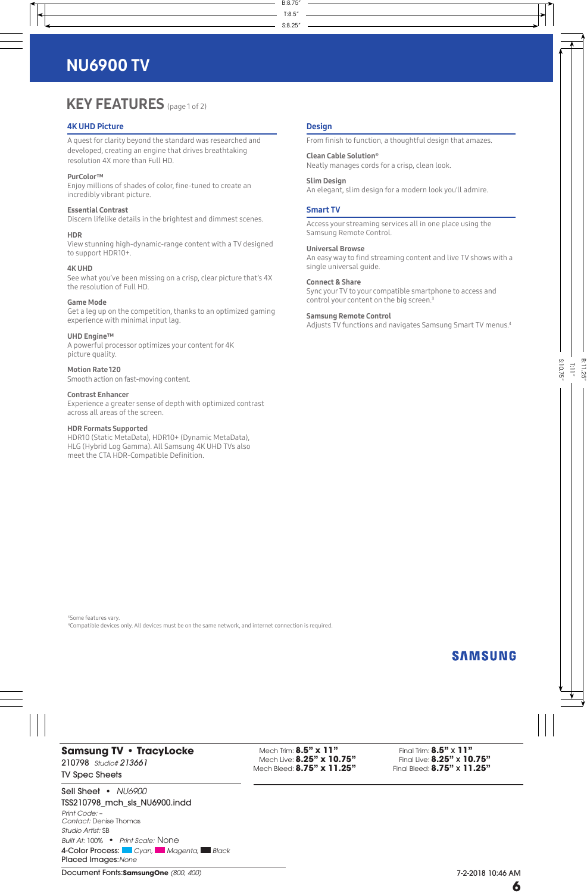# **KEY FEATURES** (page 1 of 2)

#### 4K UHD Picture

A quest for clarity beyond the standard was researched and developed, creating an engine that drives breathtaking resolution 4X more than Full HD.

#### PurColor™

Enjoy millions of shades of color, fine-tuned to create an incredibly vibrant picture.

#### Essential Contrast

Discern lifelike details in the brightest and dimmest scenes.

#### HDR

View stunning high-dynamic-range content with a TV designed to support HDR10+.

#### 4K UHD

See what you've been missing on a crisp, clear picture that's 4X the resolution of Full HD.

#### Game Mode

Get a leg up on the competition, thanks to an optimized gaming experience with minimal input lag.

#### UHD Engine™

A powerful processor optimizes your content for 4K picture quality.

Motion Rate 120 Smooth action on fast-moving content.

Contrast Enhancer Experience a greater sense of depth with optimized contrast across all areas of the screen.

#### HDR Formats Supported

HDR10 (Static MetaData), HDR10+ (Dynamic MetaData), HLG (Hybrid Log Gamma). All Samsung 4K UHD TVs also meet the CTA HDR-Compatible Definition.

#### **Design**

From finish to function, a thoughtful design that amazes.

Clean Cable Solution® Neatly manages cords for a crisp, clean look.

#### Slim Design

An elegant, slim design for a modern look you'll admire.

#### Smart TV

Access your streaming services all in one place using the Samsung Remote Control.

#### Universal Browse

An easy way to find streaming content and live TV shows with a single universal guide.

#### Connect & Share

Sync your TV to your compatible smartphone to access and control your content on the big screen.<sup>3</sup>

#### Samsung Remote Control

Adjusts TV functions and navigates Samsung Smart TV menus.4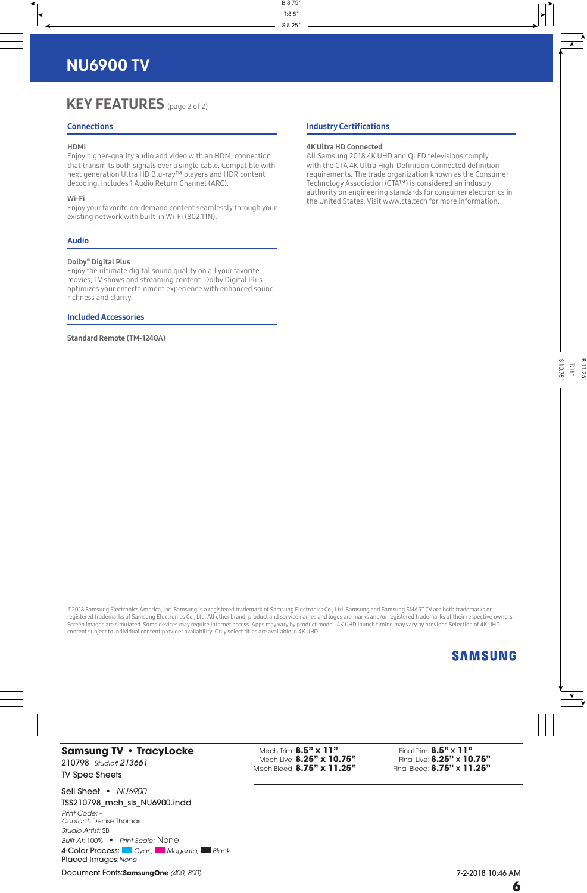## KEY FEATURES (page 2 of 2)

#### **Connections**

#### HDMI

Enjoy higher-quality audio and video with an HDMI connection that transmits both signals over a single cable. Compatible with next generation Ultra HD Blu-ray™ players and HDR content decoding. Includes 1 Audio Return Channel (ARC).

#### Wi-Fi

Enjoy your favorite on-demand content seamlessly through your existing network with built-in Wi-Fi (802.11N).

#### Audio

#### Dolby® Digital Plus

Enjoy the ultimate digital sound quality on all your favorite movies, TV shows and streaming content. Dolby Digital Plus optimizes your entertainment experience with enhanced sound richness and clarity.

#### Included Accessories

Standard Remote (TM-1240A)

#### Industry Certifications

#### 4K Ultra HD Connected

All Samsung 2018 4K UHD and QLED televisions comply with the CTA 4K Ultra High-Definition Connected definition requirements. The trade organization known as the Consumer Technology Association (CTA™) is considered an industry authority on engineering standards for consumer electronics in the United States. Visit www.cta.tech for more information.

©2018 Samsung Electronics America, Inc. Samsung is a registered trademark of Samsung Electronics Co., Ltd. Samsung and Samsung SMART TV are both trademarks or registered trademarks of Samsung Electronics Co., Ltd. All other brand, product and service names and logos are marks and/or registered trademarks of their respective owners. Screen images are simulated. Some devices may require internet access. Apps may vary by product model. 4K UHD launch timing may vary by provider. Selection of 4K UHD content subject to individual content provider availability. Only select titles are available in 4K UHD.

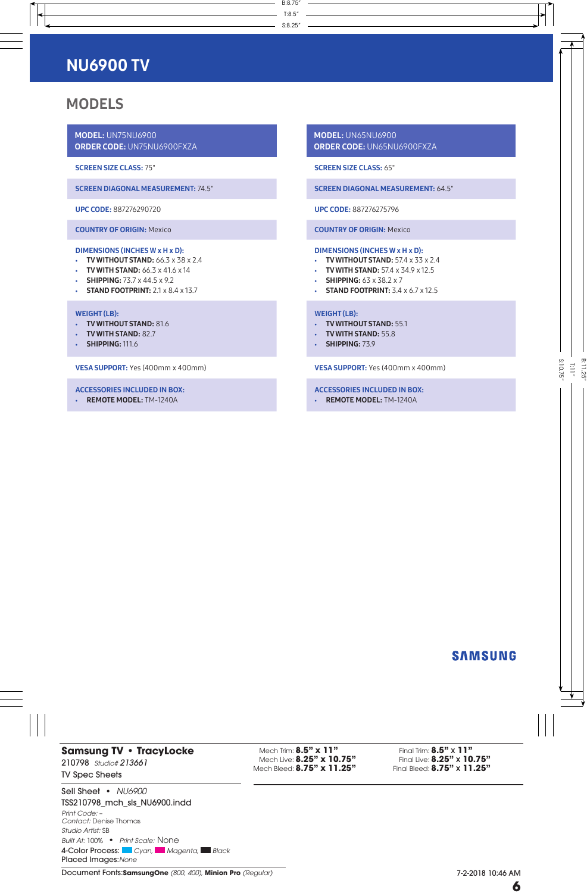## MODELS

MODEL: UN75NU6900 ORDER CODE: UN75NU6900FXZA

SCREEN SIZE CLASS: 75"

SCREEN DIAGONAL MEASUREMENT: 74.5"

UPC CODE: 887276290720

COUNTRY OF ORIGIN: Mexico

#### DIMENSIONS (INCHES W x H x D):

- TV WITHOUT STAND:  $66.3 \times 38 \times 2.4$
- TV WITH STAND:  $66.3 \times 41.6 \times 14$
- SHIPPING:  $73.7 \times 44.5 \times 9.2$
- STAND FOOTPRINT:  $2.1 \times 8.4 \times 13.7$

#### WEIGHT (LB):

- TV WITHOUT STAND: 81.6
- TV WITH STAND: 82.7
- **SHIPPING: 111.6**

VESA SUPPORT: Yes (400mm x 400mm)

#### ACCESSORIES INCLUDED IN BOX:

• REMOTE MODEL: TM-1240A

MODEL: UN65NU6900 ORDER CODE: UN65NU6900FXZA

SCREEN SIZE CLASS: 65"

SCREEN DIAGONAL MEASUREMENT: 64.5"

UPC CODE: 887276275796

COUNTRY OF ORIGIN: Mexico

#### DIMENSIONS (INCHES W x H x D):

- TV WITHOUT STAND:  $57.4 \times 33 \times 2.4$
- TV WITH STAND:  $57.4 \times 34.9 \times 12.5$
- SHIPPING:  $63 \times 38.2 \times 7$
- STAND FOOTPRINT:  $3.4 \times 6.7 \times 12.5$

#### WEIGHT (LB):

- TV WITHOUT STAND: 55.1
- TV WITH STAND: 55.8
- SHIPPING: 73.9

VESA SUPPORT: Yes (400mm x 400mm)

#### ACCESSORIES INCLUDED IN BOX:

• REMOTE MODEL: TM-1240A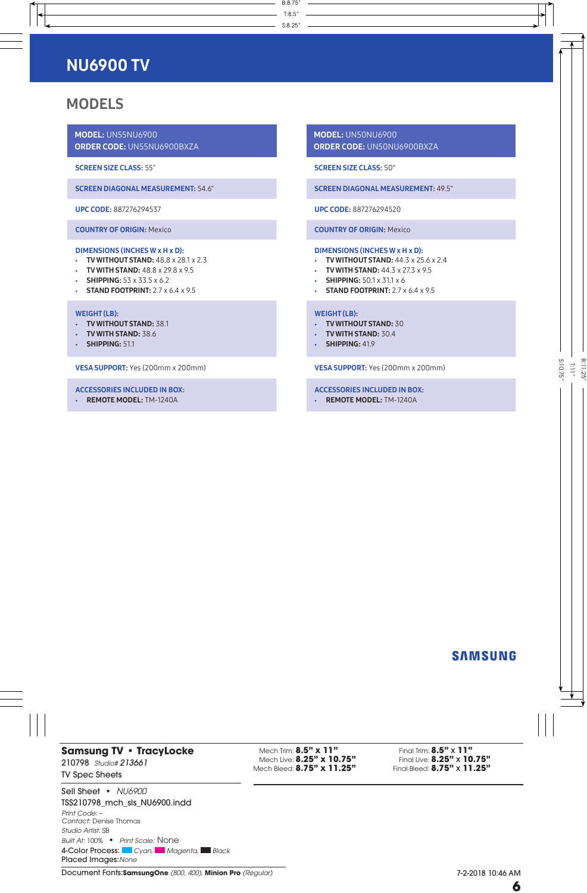## MODELS

MODEL: UN55NU6900 ORDER CODE: UN55NU6900BXZA

SCREEN SIZE CLASS: 55"

SCREEN DIAGONAL MEASUREMENT: 54.6"

UPC CODE: 887276294537

COUNTRY OF ORIGIN: Mexico

#### DIMENSIONS (INCHES W x H x D):

- TV WITHOUT STAND:  $48.8 \times 28.1 \times 2.3$
- $\cdot$  TV WITH STAND:  $48.8 \times 29.8 \times 9.5$
- SHIPPING:  $53 \times 33.5 \times 6.2$
- STAND FOOTPRINT:  $2.7 \times 6.4 \times 9.5$

#### WEIGHT (LB):

- TV WITHOUT STAND: 38.1
- TV WITH STAND: 38.6
- SHIPPING: 51.1

VESA SUPPORT: Yes (200mm x 200mm)

#### ACCESSORIES INCLUDED IN BOX:

• REMOTE MODEL: TM-1240A

MODEL: UN50NU6900 ORDER CODE: UN50NU6900BXZA

SCREEN SIZE CLASS: 50"

SCREEN DIAGONAL MEASUREMENT: 49.5"

UPC CODE: 887276294520

COUNTRY OF ORIGIN: Mexico

#### DIMENSIONS (INCHES W x H x D):

- TV WITHOUT STAND:  $44.3 \times 25.6 \times 2.4$
- TV WITH STAND:  $44.3 \times 27.3 \times 9.5$
- SHIPPING:  $50.1 \times 31.1 \times 6$
- STAND FOOTPRINT:  $2.7 \times 6.4 \times 9.5$

#### WEIGHT (LB):

- TV WITHOUT STAND: 30
- TV WITH STAND: 30.4
- SHIPPING: 41.9

VESA SUPPORT: Yes (200mm x 200mm)

#### ACCESSORIES INCLUDED IN BOX:

• REMOTE MODEL: TM-1240A